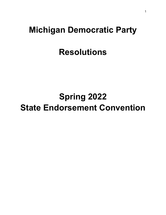# **Michigan Democratic Party**

# **Resolutions**

# **Spring 2022 State Endorsement Convention**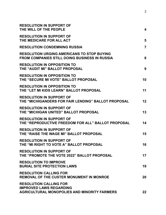| <b>RESOLUTION IN SUPPORT OF</b><br>THE WILL OF THE PEOPLE                                                       | 4              |
|-----------------------------------------------------------------------------------------------------------------|----------------|
| <b>RESOLUTION IN SUPPORT OF</b><br>THE MEDICARE FOR ALL ACT                                                     | 5              |
| <b>RESOLUTION CONDEMNING RUSSIA</b>                                                                             | $\overline{7}$ |
| <b>RESOLUTION URGING AMERICANS TO STOP BUYING</b><br><b>FROM COMPANIES STILL DOING BUSINESS IN RUSSIA</b>       | 8              |
| <b>RESOLUTION IN OPPOSITION TO</b><br>THE "AUDIT MI" BALLOT PROPOSAL                                            | 9              |
| <b>RESOLUTION IN OPPOSITION TO</b><br>THE "SECURE MI VOTE" BALLOT PROPOSAL                                      | 10             |
| <b>RESOLUTION IN OPPOSITION TO</b><br>THE "LET MI KIDS LEARN" BALLOT PROPOSAL                                   | 11             |
| <b>RESOLUTION IN SUPPORT OF</b><br>THE "MICHIGANDERS FOR FAIR LENDING" BALLOT PROPOSAL                          | $12 \,$        |
| <b>RESOLUTION IN SUPPORT OF</b><br>THE "MICHIGAN UNITED" BALLOT PROPOSAL                                        | 13             |
| <b>RESOLUTION IN SUPPORT OF</b><br>THE "REPRODUCTIVE FREEDOM FOR ALL" BALLOT PROPOSAL                           | 14             |
| <b>RESOLUTION IN SUPPORT OF</b><br>THE "RAISE THE WAGE MI" BALLOT PROPOSAL                                      | 15             |
| <b>RESOLUTION IN SUPPORT OF</b><br>THE "MI RIGHT TO VOTE A" BALLOT PROPOSAL                                     | 16             |
| <b>RESOLUTION IN SUPPORT OF</b><br>THE "PROMOTE THE VOTE 2022" BALLOT PROPOSAL                                  | 17             |
| <b>RESOLUTION TO IMPROVE</b><br><b>BURIAL SITE PROTECTION LAWS</b>                                              | 19             |
| <b>RESOLUTION CALLING FOR</b><br><b>REMOVAL OF THE CUSTER MONUMENT IN MONROE</b>                                | 20             |
| <b>RESOLUTION CALLING FOR</b><br><b>IMPROVED LAWS REGARDING</b><br>AGRICULTURAL MONOPOLIES AND MINORITY FARMERS | 22             |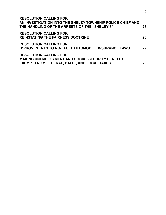| <b>RESOLUTION CALLING FOR</b><br>AN INVESTIGATION INTO THE SHELBY TOWNSHIP POLICE CHIEF AND<br>THE HANDLING OF THE ARRESTS OF THE "SHELBY 5"   | 25 |
|------------------------------------------------------------------------------------------------------------------------------------------------|----|
| <b>RESOLUTION CALLING FOR</b><br><b>REINSTATING THE FAIRNESS DOCTRINE</b>                                                                      | 26 |
| <b>RESOLUTION CALLING FOR</b><br><b>IMPROVEMENTS TO NO-FAULT AUTOMOBILE INSURANCE LAWS</b>                                                     | 27 |
| <b>RESOLUTION CALLING FOR</b><br><b>MAKING UNEMPLOYMENT AND SOCIAL SECURITY BENEFITS</b><br><b>EXEMPT FROM FEDERAL, STATE, AND LOCAL TAXES</b> | 28 |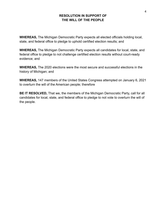#### **RESOLUTION IN SUPPORT OF THE WILL OF THE PEOPLE**

<span id="page-3-0"></span>**WHEREAS,** The Michigan Democratic Party expects all elected officials holding local, state, and federal office to pledge to uphold certified election results; and

**WHEREAS,** The Michigan Democratic Party expects all candidates for local, state, and federal office to pledge to not challenge certified election results without court-ready evidence; and

**WHEREAS,** The 2020 elections were the most secure and successful elections in the history of Michigan; and

**WHEREAS,** 147 members of the United States Congress attempted on January 6, 2021 to overturn the will of the American people; therefore

**BE IT RESOLVED,** That we, the members of the Michigan Democratic Party, call for all candidates for local, state, and federal office to pledge to not vote to overturn the will of the people.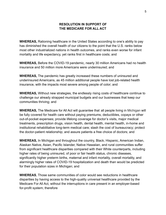#### **RESOLUTION IN SUPPORT OF THE MEDICARE FOR ALL ACT**

<span id="page-4-0"></span>**WHEREAS,** Rationing healthcare in the United States according to one's ability to pay has diminished the overall health of our citizens to the point that the U.S. ranks below most other industrialized nations in health outcomes, and ranks even worse for infant mortality and life expectancy, yet ranks first in healthcare costs; and

**WHEREAS,** Before the COVID-19 pandemic, nearly 30 million Americans had no health insurance and 50 million more Americans were underinsured; and

**WHEREAS,** The pandemic has greatly increased these numbers of uninsured and underinsured Americans, as 45 million additional people have lost job-related health insurance, with the impacts most severe among people of color; and

**WHEREAS,** Without new strategies, the endlessly rising costs of healthcare continue to challenge our already strapped municipal budgets and our businesses that keep our communities thriving; and

**WHEREAS,** The Medicare for All Act will guarantee that all people living in Michigan will be fully covered for health care without paying premiums, deductibles, copays or other out-of-pocket expenses; provide lifelong coverage for doctor's visits, major medical treatments, prescription drugs, vision health, dental health, mental health, in-home and institutional rehabilitative long-term medical care; slash the cost of bureaucracy; protect the doctor-patient relationship; and assure patients a free choice of doctors; and

**WHEREAS,** In Michigan and throughout the country, Black, Hispanic, American Indian, Alaskan Native, Asian, Pacific Islander, Native Hawaiian, and rural communities suffer from significant healthcare disparities compared with their White counterparts, including higher rates of being uninsured, of poor or fair health status, chronic diseases, significantly higher preterm births, maternal and infant mortality, overall mortality, and alarmingly higher rates of COVID-19 hospitalization and death than would be predicted for their population sizes in Michigan; and

**WHEREAS**, Those same communities of color would see reductions in healthcare disparities by having access to the high-quality universal healthcare provided by the Medicare For All Act, without the interruptions in care present in an employer-based for-profit system; therefore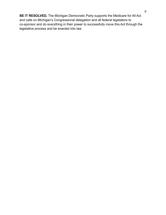**BE IT RESOLVED,** The Michigan Democratic Party supports the Medicare for All Act and calls on Michigan's Congressional delegation and all federal legislators to co-sponsor and do everything in their power to successfully move this Act through the legislative process and be enacted into law.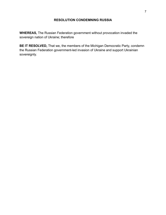### **RESOLUTION CONDEMNING RUSSIA**

<span id="page-6-0"></span>**WHEREAS,** The Russian Federation government without provocation invaded the sovereign nation of Ukraine; therefore

**BE IT RESOLVED,** That we, the members of the Michigan Democratic Party, condemn the Russian Federation government-led invasion of Ukraine and support Ukrainian sovereignty.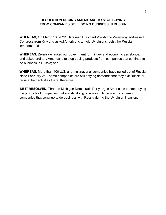#### **RESOLUTION URGING AMERICANS TO STOP BUYING FROM COMPANIES STILL DOING BUSINESS IN RUSSIA**

<span id="page-7-0"></span>**WHEREAS,** On March 16, 2022, Ukrainian President Volodymyr Zelenskyy addressed Congress from Kyiv and asked Americans to help Ukrainians resist the Russian invaders; and

**WHEREAS,** Zelenskyy asked our government for military and economic assistance, and asked ordinary Americans to stop buying products from companies that continue to do business in Russia; and

**WHEREAS,** More than 400 U.S. and multinational companies have pulled out of Russia since February 24<sup>th</sup>, some companies are still defying demands that they exit Russia or reduce their activities there; therefore

**BE IT RESOLVED,** That the Michigan Democratic Party urges Americans to stop buying the products of companies that are still doing business in Russia and condemn companies that continue to do business with Russia during the Ukrainian invasion.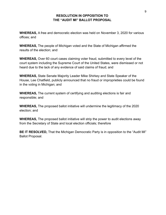#### **RESOLUTION IN OPPOSITION TO THE "AUDIT MI" BALLOT PROPOSAL**

<span id="page-8-0"></span>**WHEREAS,** A free and democratic election was held on November 3, 2020 for various offices; and

**WHEREAS,** The people of Michigan voted and the State of Michigan affirmed the results of the election; and

**WHEREAS,** Over 60 court cases claiming voter fraud, submitted to every level of the court system including the Supreme Court of the United States, were dismissed or not heard due to the lack of any evidence of said claims of fraud; and

**WHEREAS,** State Senate Majority Leader Mike Shirkey and State Speaker of the House, Lee Chatfield, publicly announced that no fraud or improprieties could be found in the voting in Michigan; and

**WHEREAS,** The current system of certifying and auditing elections is fair and responsible; and

**WHEREAS,** The proposed ballot initiative will undermine the legitimacy of the 2020 election; and

**WHEREAS,** The proposed ballot initiative will strip the power to audit elections away from the Secretary of State and local election officials; therefore

**BE IT RESOLVED,** That the Michigan Democratic Party is in opposition to the "Audit MI" Ballot Proposal.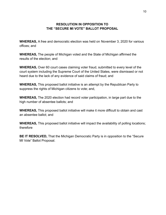#### **RESOLUTION IN OPPOSITION TO THE "SECURE MI VOTE" BALLOT PROPOSAL**

<span id="page-9-0"></span>**WHEREAS,** A free and democratic election was held on November 3, 2020 for various offices; and

**WHEREAS,** The people of Michigan voted and the State of Michigan affirmed the results of the election; and

**WHEREAS,** Over 60 court cases claiming voter fraud, submitted to every level of the court system including the Supreme Court of the United States, were dismissed or not heard due to the lack of any evidence of said claims of fraud; and

**WHEREAS,** This proposed ballot initiative is an attempt by the Republican Party to suppress the rights of Michigan citizens to vote; and,

**WHEREAS,** The 2020 election had record voter participation, in large part due to the high number of absentee ballots; and

**WHEREAS,** This proposed ballot initiative will make it more difficult to obtain and cast an absentee ballot; and

**WHEREAS,** This proposed ballot initiative will impact the availability of polling locations; therefore

**BE IT RESOLVED,** That the Michigan Democratic Party is in opposition to the "Secure MI Vote" Ballot Proposal.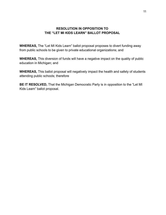### **RESOLUTION IN OPPOSITION TO THE "LET MI KIDS LEARN" BALLOT PROPOSAL**

<span id="page-10-0"></span>**WHEREAS,** The "Let MI Kids Learn" ballot proposal proposes to divert funding away from public schools to be given to private educational organizations; and

**WHEREAS,** This diversion of funds will have a negative impact on the quality of public education in Michigan; and

**WHEREAS,** This ballot proposal will negatively impact the health and safety of students attending public schools; therefore

**BE IT RESOLVED,** That the Michigan Democratic Party is in opposition to the "Let MI Kids Learn" ballot proposal.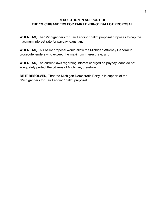#### <span id="page-11-0"></span>**RESOLUTION IN SUPPORT OF THE "MICHIGANDERS FOR FAIR LENDING" BALLOT PROPOSAL**

**WHEREAS,** The "Michiganders for Fair Lending" ballot proposal proposes to cap the maximum interest rate for payday loans; and

**WHEREAS,** This ballot proposal would allow the Michigan Attorney General to prosecute lenders who exceed the maximum interest rate; and

**WHEREAS,** The current laws regarding interest charged on payday loans do not adequately protect the citizens of Michigan; therefore

**BE IT RESOLVED,** That the Michigan Democratic Party is in support of the "Michiganders for Fair Lending" ballot proposal.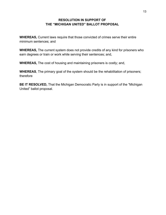#### **RESOLUTION IN SUPPORT OF THE "MICHIGAN UNITED" BALLOT PROPOSAL**

<span id="page-12-0"></span>**WHEREAS,** Current laws require that those convicted of crimes serve their entire minimum sentences; and

**WHEREAS,** The current system does not provide credits of any kind for prisoners who earn degrees or train or work while serving their sentences; and,

**WHEREAS,** The cost of housing and maintaining prisoners is costly; and,

**WHEREAS**, The primary goal of the system should be the rehabilitation of prisoners; therefore

**BE IT RESOLVED,** That the Michigan Democratic Party is in support of the "Michigan United" ballot proposal.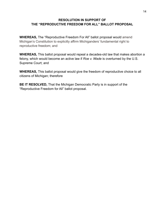#### <span id="page-13-0"></span>**RESOLUTION IN SUPPORT OF THE "REPRODUCTIVE FREEDOM FOR ALL" BALLOT PROPOSAL**

**WHEREAS,** The "Reproductive Freedom For All" ballot proposal would amend Michigan's Constitution to explicitly affirm Michiganders' fundamental right to reproductive freedom; and

**WHEREAS,** This ballot proposal would repeal a decades-old law that makes abortion a felony, which would become an active law if *Roe v. Wade* is overturned by the U.S. Supreme Court; and

**WHEREAS,** This ballot proposal would give the freedom of reproductive choice to all citizens of Michigan; therefore

**BE IT RESOLVED,** That the Michigan Democratic Party is in support of the "Reproductive Freedom for All" ballot proposal.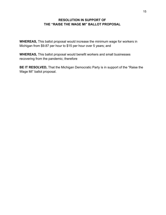#### **RESOLUTION IN SUPPORT OF THE "RAISE THE WAGE MI" BALLOT PROPOSAL**

<span id="page-14-0"></span>**WHEREAS,** This ballot proposal would increase the minimum wage for workers in Michigan from \$9.87 per hour to \$15 per hour over 5 years; and

**WHEREAS,** This ballot proposal would benefit workers and small businesses recovering from the pandemic; therefore

**BE IT RESOLVED,** That the Michigan Democratic Party is in support of the "Raise the Wage MI" ballot proposal.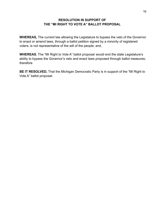### **RESOLUTION IN SUPPORT OF THE "MI RIGHT TO VOTE A" BALLOT PROPOSAL**

<span id="page-15-0"></span>**WHEREAS,** The current law allowing the Legislature to bypass the veto of the Governor to enact or amend laws, through a ballot petition signed by a minority of registered voters, is not representative of the will of the people; and,

**WHEREAS**, The "MI Right to Vote A" ballot proposal would end the state Legislature's ability to bypass the Governor's veto and enact laws proposed through ballot measures; therefore

**BE IT RESOLVED,** That the Michigan Democratic Party is in support of the "MI Right to Vote A" ballot proposal.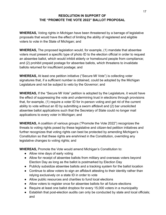### **RESOLUTION IN SUPPORT OF THE "PROMOTE THE VOTE 2022" BALLOT PROPOSAL**

<span id="page-16-0"></span>**WHEREAS,** Voting rights in Michigan have been threatened by a barrage of legislative proposals that would have the effect of limiting the ability of registered and eligible voters to vote in the State of Michigan; and

**WHEREAS,** The proposed legislation would, for example, (1) mandate that absentee voters must present a specific type of photo ID to the election official in order to request an absentee ballot, which would inhibit elderly or homebound people from compliance; and (2) prohibit prepaid postage for absentee ballots, which threatens to invalidate ballots returned for insufficient postage; and

**WHEREAS,** At least one petition initiative ("Secure MI Vote") is collecting voter signatures that, if a sufficient number is obtained, could be adopted by the Michigan Legislature and not be subject to veto by the Governor; and

**WHEREAS,** If the "Secure MI Vote" petition is adopted by the Legislature, it would have the effect of suppressing the vote and undermining trust in elections through provisions that, for example, (1) require a voter ID for in-person voting and get rid of the current ability to vote without an ID by submitting a sworn affidavit and (2) bar unsolicited absentee ballot applications such that the Secretary of State could no longer mail applications to every voter in Michigan; and

**WHEREAS,** A coalition of various groups ("Promote the Vote 2022") recognizes the threats to voting rights posed by these legislative and citizen-led petition initiatives and further recognizes that voting rights can best be protected by amending Michigan's Constitution so that these rights are enshrined in the Constitution, overriding any legislative changes to voting rights; and

**WHEREAS,** Promote the Vote would amend Michigan's Constitution to:

- Allow nine days of early voting
- Allow for receipt of absentee ballots from military and overseas voters beyond Election Day as long as the ballot is postmarked by Election Day
- Publicly subsidize absentee ballots and a tracking system for the ballot location
- Continue to allow voters to sign an affidavit attesting to their identity rather than relying exclusively on a state ID in order to vote
- Allow public resources and charities to fund local elections
- Allow voters to register once for absentee ballots for all future elections
- Require at least one ballot dropbox for every 15,000 voters in a municipality
- Establish that post-election audits can only be conducted by state and local officials; and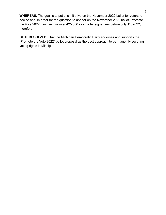**WHEREAS,** The goal is to put this initiative on the November 2022 ballot for voters to decide and, in order for the question to appear on the November 2022 ballot, Promote the Vote 2022 must secure over 425,000 valid voter signatures before July 11, 2022; therefore

**BE IT RESOLVED,** That the Michigan Democratic Party endorses and supports the "Promote the Vote 2022" ballot proposal as the best approach to permanently securing voting rights in Michigan.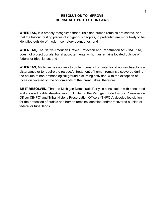#### **RESOLUTION TO IMPROVE BURIAL SITE PROTECTION LAWS**

<span id="page-18-0"></span>**WHEREAS,** It is broadly recognized that burials and human remains are sacred, and that the historic resting places of indigenous peoples, in particular, are more likely to be identified outside of modern cemetery boundaries; and

**WHEREAS,** The Native American Graves Protection and Repatriation Act (NAGPRA) does not protect burials, burial accouterments, or human remains located outside of federal or tribal lands; and

**WHEREAS,** Michigan has no laws to protect burials from intentional non-archaeological disturbance or to require the respectful treatment of human remains discovered during the course of non-archaeological ground-disturbing activities, with the exception of those discovered on the bottomlands of the Great Lakes; therefore

**BE IT RESOLVED,** That the Michigan Democratic Party, in consultation with concerned and knowledgeable stakeholders not limited to the Michigan State Historic Preservation Officer (SHPO) and Tribal Historic Preservation Officers (THPOs), develop legislation for the protection of burials and human remains identified and/or recovered outside of federal or tribal lands.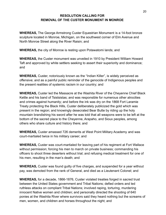#### **RESOLUTION CALLING FOR REMOVAL OF THE CUSTER MONUMENT IN MONROE**

<span id="page-19-0"></span>**WHEREAS,** The George Armstrong Custer Equestrian Monument is a 14-foot bronze sculpture located in Monroe, Michigan, on the southwest corner of Elm Avenue and North Monroe Street along the River Raisin; and

**WHEREAS,** the city of Monroe is resting upon Potawatomi lands; and

**WHEREAS,** the Custer monument was unveiled in 1910 by President William Howard Taft and approved by white settlers seeking to assert their superiority and dominance; and

**WHEREAS,** Custer, notoriously known as the "Indian Killer", is widely perceived as offensive; and as a painful public reminder of the genocide of Indigenous peoples and the present realities of systemic racism in our country; and

**WHEREAS,** Custer led the Massacre at the Washita River of the Cheyenne Chief Black Kettle and his band of Tsistsistas; and was responsible for numerous other atrocities and crimes against humanity; and before the ink was dry on the 1868 Fort Laramie Treaty protecting the Black Hills, Custer deliberately publicized the gold which was present in the region; and knowingly desecrated Bear Butte by riding up the holy mountain brandishing his sword after he was told that all weapons were to be left at the bottom of the sacred place to the Cheyenne, Arapaho, and Sioux peoples, among others who share culture and history there; and

**WHEREAS,** Custer amassed 726 demerits at West Point Military Academy and was court-martialed twice in his military career; and

**WHEREAS,** Custer was court-martialed for leaving part of his regiment at Fort Wallace without permission; forcing his men to march on private business; commanding his officers to shoot three deserters without trial; and refusing medical treatment for one of his men, resulting in the man's death; and

**WHEREAS,** Custer was found guilty of five charges, and suspended for a year without pay, was demoted from the rank of General, and died as a Lieutenant Colonel; and

**WHEREAS,** for a decade, 1866-1876, Custer violated treaties forged in sacred trust between the United States government and Tribal Nations; defied orders and led ruthless attacks on compliant Tribal Nations; involved raping, torturing, murdering innocent Native women and children; and personally directed the shooting of 640 ponies at the Washita River where survivors said they heard nothing but the screams of men, women, and children and horses throughout the night; and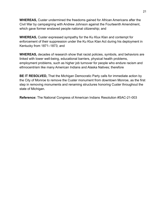**WHEREAS,** Custer undermined the freedoms gained for African Americans after the Civil War by campaigning with Andrew Johnson against the Fourteenth Amendment, which gave former enslaved people national citizenship; and

**WHEREAS,** Custer expressed sympathy for the Ku Klux Klan and contempt for enforcement of their suppression under the Ku Klux Klan Act during his deployment in Kentucky from 1871–1873; and

**WHEREAS,** decades of research show that racist policies, symbols, and behaviors are linked with lower well-being, educational barriers, physical health problems, employment problems, such as higher job turnover for people who endure racism and ethnocentrism like many American Indians and Alaska Natives; therefore

**BE IT RESOLVED,** That the Michigan Democratic Party calls for immediate action by the City of Monroe to remove the Custer monument from downtown Monroe, as the first step in removing monuments and renaming structures honoring Custer throughout the state of Michigan.

**Reference:** The National Congress of American Indians Resolution #SAC-21-003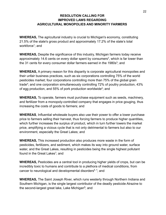### **RESOLUTION CALLING FOR IMPROVED LAWS REGARDING AGRICULTURAL MONOPOLIES AND MINORITY FARMERS**

<span id="page-21-0"></span>**WHEREAS,** The agricultural industry is crucial to Michigan's economy, constituting 21.5% of the state's gross product and approximately 17.2% of the state's total workforce<sup>1</sup>; and

**WHEREAS,** Despite the significance of this industry, Michigan farmers today receive approximately 14.6 cents on every dollar spent by consumers<sup>2</sup>, which is far lower than the 31 cents for every consumer dollar farmers earned in the 1980s<sup>3</sup>; and

**WHEREAS,** A primary reason for this disparity is corporate agricultural monopolies and their unfair business practices, such as six corporations controlling 75% of the world pesticides market; four corporations controlling more than 75% of the global grain trade<sup>4</sup>; and one corporation simultaneously controlling 72% of poultry production, 43% of egg production, and 55% of pork production worldwide<sup>4</sup>; and

**WHEREAS,** To operate, farmers must purchase equipment such as seeds, machinery, and fertilizer from a monopoly-controlled company that engages in price gouging, thus increasing the costs of goods to farmers; and

**WHEREAS**, Influential wholesale buyers also use their power to offer a lower purchase price to farmers selling their harvest, thus forcing farmers to produce higher quantities, which further increases the surplus of product, which in turn further lowers the market price, amplifying a vicious cycle that is not only detrimental to farmers but also to our environment, especially the Great Lakes; and

**WHEREAS,** This increased production also produces more waste in the form of pesticides, fertilizers, and sediment, which makes its way into ground water, surface water, and the Great Lakes, resulting in pesticides being the single highest pollutant found in the Great Lakes<sup>7</sup>; and

**WHEREAS,** Pesticides are a central tool in producing higher yields of crops, but can be incredibly toxic to humans and contribute to a plethora of medical conditions, from cancer to neurological and developmental disorders $6, 7$ ; and

**WHEREAS,** The Saint Joseph River, which runs westerly through Northern Indiana and Southern Michigan, is the single largest contributor of the deadly pesticide Atrazine to the second-largest great lake, Lake Michigan<sup>8</sup>; and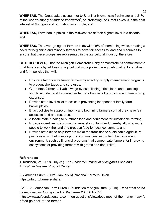**WHEREAS,** The Great Lakes account for 84% of North America's freshwater and 21% of the world's supply of surface freshwater $9$ , so protecting the Great Lakes is in the best interest of Michigan and our nation as a whole; and

**WHEREAS,** Farm bankruptcies in the Midwest are at their highest level in a decade; and

**WHEREAS,** The average age of farmers is 58 with 95% of them being white, creating a need for beginning and minority farmers to have fair access to land and resources to ensure that these groups are represented in the agricultural industry; therefore

**BE IT RESOLVED,** That the Michigan Democratic Party demonstrate its commitment to rural Americans by addressing agricultural monopolies through advocating for antitrust and farm policies that will:

- Ensure a fair price for family farmers by enacting supply-management programs to prevent shortages and surpluses;
- Guarantee farmers a livable wage by establishing price floors and matching supply with demand to guarantee farmers the cost of production and family living expenses;
- Provide state-level relief to assist in preventing independent family farm bankruptcies;
- Enact policies to support minority and beginning farmers so that they have fair access to land and resources;
- Allocate state funding to purchase land and equipment for sustainable farming;
- Provide incentives to community ownership of farmland, thereby allowing more people to work the land and produce food for local consumers; and
- Provide state aid to help farmers make the transition to sustainable agricultural practices which help develop rural communities yet protect the climate and environment, such as financial programs that compensate farmers for improving ecosystems or providing farmers with grants and debt relief.

# **References:**

1. Knudson, W. (2018, July 31). *The Economic Impact of Michigan's Food and Agriculture System*. Product Center.

2. *Farmer's Share*. (2021, January 6). National Farmers Union. https://nfu.org/farmers-share/

3.AFBFA - American Farm Bureau Foundation for Agriculture. (2019). *Does most of the money I pay for food go back to the farmer?* AFBFA 2021.

https://www.agfoundation.org/common-questions/view/does-most-of-the-money-i-pay-fo r-food-go-back-to-the-farmer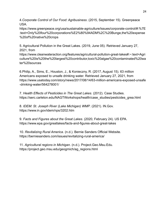4.*Corporate Control of Our Food: Agribusiness*. (2015, September 15). Greenpeace USA.

https://www.greenpeace.org/usa/sustainable-agriculture/issues/corporate-control/#:%7E :text=Only%20four%20corporations%E2%80%94ADM%2C%20Bunge,the%20expense %20of%20native%20crops

5. Agricultural Pollution in the Great Lakes. (2019, June 05). Retrieved January 27, 2021, from

https://www.cleanwateraction.org/features/agricultural-pollution-great-lakes#:~:text=Agri culture%20is%20the%20largest%20contributor,toxic%20algae%20contaminated%20wa ter%20sources

6.Philip, A., Sims, E., Houston, J., & Konieczny, R. (2017, August 15). 63 million Americans exposed to unsafe drinking water. Retrieved January 27, 2021, from https://www.usatoday.com/story/news/2017/08/14/63-million-americans-exposed-unsafe -drinking-water/564278001/

7. *Health Effects of Pesticides in The Great Lakes*. (2012). Case Studies. https://serc.carleton.edu/NAGTWorkshops/health/case\_studies/pesticides\_grea.html

8. *IDEM: St. Joseph River (Lake Michigan) WMP*. (2021). IN.Gov. https://www.in.gov/idem/nps/3202.htm

9. *Facts and Figures about the Great Lakes*. (2020, February 24). US EPA. https://www.epa.gov/greatlakes/facts-and-figures-about-great-lakes

10. *Revitalizing Rural America*. (n.d.). Bernie Sanders Official Website. https://berniesanders.com/issues/revitalizing-rural-america/

11. *Agricultural regions in Michigan*. (n.d.). Project.Geo.Msu.Edu. https://project.geo.msu.edu/geogmich/ag\_regions.html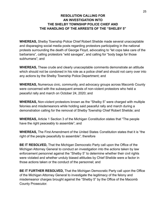# **RESOLUTION CALLING FOR AN INVESTIGATION INTO THE SHELBY TOWNSHIP POLICE CHIEF AND THE HANDLING OF THE ARRESTS OF THE "SHELBY 5"**

<span id="page-24-1"></span><span id="page-24-0"></span>**WHEREAS,** Shelby Township Police Chief Robert Shelide made several unacceptable and disparaging social media posts regarding protestors participating in the national protests surrounding the death of George Floyd, advocating to "let cops take care of the barbarians", calling protestors "wild savages", and calling for "body bags for those subhumans"; and

**WHEREAS,** These crude and clearly unacceptable comments demonstrate an attitude which should not be condoned in his role as a police chief and should not carry over into any actions by the Shelby Township Police Department; and

**WHEREAS,** Numerous civic, community, and advocacy groups across Macomb County were concerned with the subsequent arrests of non-violent protestors who held a peaceful rally and march on October 24, 2020; and

**WHEREAS,** Non-violent protestors known as the "Shelby 5" were charged with multiple felonies and misdemeanors while holding said peaceful rally and march during a demonstration calling for the removal of Shelby Township Chief Robert Shelide; and

**WHEREAS,** Article 1 Section 3 of the Michigan Constitution states that "The people have the right peaceably to assemble"; and

**WHEREAS,** The First Amendment of the United States Constitution states that it is "the right of the people peacefully to assemble"; therefore

**BE IT RESOLVED,** That the Michigan Democratic Party call upon the Office of the Michigan Attorney General to conduct an investigation into the actions taken by law enforcement personnel against the "Shelby 5" to determine whether their civil rights were violated and whether unduly biased attitudes by Chief Shelide were a factor in those actions taken or the conduct of the personnel; and

**BE IT FURTHER RESOLVED,** That the Michigan Democratic Party call upon the Office of the Michigan Attorney General to investigate the legitimacy of the felony and misdemeanor charges brought against the "Shelby 5" by the Office of the Macomb County Prosecutor.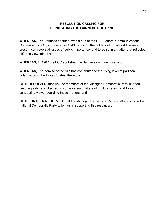#### **RESOLUTION CALLING FOR REINSTATING THE FAIRNESS DOCTRINE**

<span id="page-25-0"></span>**WHEREAS,** The "fairness doctrine" was a rule of the U.S. Federal Communications Commission (FCC) introduced in 1949, requiring the holders of broadcast licenses to present controversial issues of public importance, and to do so in a matter that reflected differing viewpoints; and

**WHEREAS,** In 1987 the FCC abolished the "fairness doctrine" rule; and

**WHEREAS,** The demise of the rule has contributed to the rising level of partisan polarization in the United States; therefore

**BE IT RESOLVED,** that we, the members of the Michigan Democratic Party support devoting airtime to discussing controversial matters of public interest, and to air contrasting views regarding those matters; and

**BE IT FURTHER RESOLVED**, that the Michigan Democratic Party shall encourage the national Democratic Party to join us in supporting this resolution.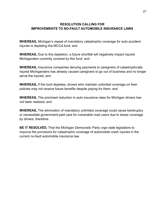#### <span id="page-26-0"></span>**RESOLUTION CALLING FOR IMPROVEMENTS TO NO-FAULT AUTOMOBILE INSURANCE LAWS**

**WHEREAS,** Michigan's repeal of mandatory catastrophic coverage for auto accident injuries is depleting the MCCA fund; and

**WHEREAS,** Due to this depletion, a future shortfall will negatively impact injured Michiganders currently covered by this fund; and

**WHEREAS,** Insurance companies denying payments to caregivers of catastrophically injured Michiganders has already caused caregivers to go out of business and no longer serve the injured; and

**WHEREAS,** If the fund depletes, drivers who maintain unlimited coverage on their policies may not receive future benefits despite paying for them; and

**WHEREAS,** The promised reduction in auto insurance rates for Michigan drivers has not been realized; and

**WHEREAS,** The elimination of mandatory unlimited coverage could cause bankruptcy or necessitate government-paid care for vulnerable road users due to lesser coverage by drivers; therefore

**BE IT RESOLVED,** That the Michigan Democratic Party urge state legislators to improve the provisions for catastrophic coverage of automobile crash injuries in the current no-fault automobile insurance law.